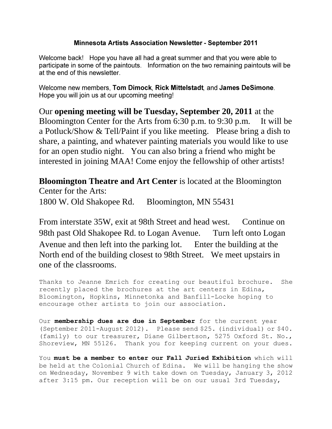### **Minnesota Artists Association Newsletter - September 2011**

Welcome back! Hope you have all had a great summer and that you were able to participate in some of the paintouts. Information on the two remaining paintouts will be at the end of this newsletter.

Welcome new members, Tom Dimock, Rick Mittelstadt, and James DeSimone. Hope you will join us at our upcoming meeting!

Our **opening meeting will be Tuesday, September 20, 2011** at the Bloomington Center for the Arts from 6:30 p.m. to 9:30 p.m. It will be a Potluck/Show & Tell/Paint if you like meeting. Please bring a dish to share, a painting, and whatever painting materials you would like to use for an open studio night. You can also bring a friend who might be interested in joining MAA! Come enjoy the fellowship of other artists!

**Bloomington Theatre and Art Center** is located at the Bloomington Center for the Arts: 1800 W. Old Shakopee Rd. Bloomington, MN 55431

From interstate 35W, exit at 98th Street and head west. Continue on 98th past Old Shakopee Rd. to Logan Avenue. Turn left onto Logan Avenue and then left into the parking lot. Enter the building at the North end of the building closest to 98th Street. We meet upstairs in one of the classrooms.

Thanks to Jeanne Emrich for creating our beautiful brochure. She recently placed the brochures at the art centers in Edina, Bloomington, Hopkins, Minnetonka and Banfill-Locke hoping to encourage other artists to join our association.

Our **membership dues are due in September** for the current year (September 2011-August 2012). Please send \$25. (individual) or \$40. (family) to our treasurer, Diane Gilbertson, 5275 Oxford St. No., Shoreview, MN 55126. Thank you for keeping current on your dues.

You **must be a member to enter our Fall Juried Exhibition** which will be held at the Colonial Church of Edina. We will be hanging the show on Wednesday, November 9 with take down on Tuesday, January 3, 2012 after 3:15 pm. Our reception will be on our usual 3rd Tuesday,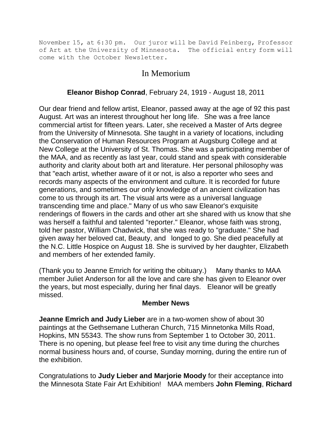November 15, at 6:30 pm. Our juror will be David Feinberg, Professor of Art at the University of Minnesota. The official entry form will come with the October Newsletter.

# In Memorium

## **Eleanor Bishop Conrad**, February 24, 1919 - August 18, 2011

Our dear friend and fellow artist, Eleanor, passed away at the age of 92 this past August. Art was an interest throughout her long life. She was a free lance commercial artist for fifteen years. Later, she received a Master of Arts degree from the University of Minnesota. She taught in a variety of locations, including the Conservation of Human Resources Program at Augsburg College and at New College at the University of St. Thomas. She was a participating member of the MAA, and as recently as last year, could stand and speak with considerable authority and clarity about both art and literature. Her personal philosophy was that "each artist, whether aware of it or not, is also a reporter who sees and records many aspects of the environment and culture. It is recorded for future generations, and sometimes our only knowledge of an ancient civilization has come to us through its art. The visual arts were as a universal language transcending time and place." Many of us who saw Eleanor's exquisite renderings of flowers in the cards and other art she shared with us know that she was herself a faithful and talented "reporter." Eleanor, whose faith was strong, told her pastor, William Chadwick, that she was ready to "graduate." She had given away her beloved cat, Beauty, and longed to go. She died peacefully at the N.C. Little Hospice on August 18. She is survived by her daughter, Elizabeth and members of her extended family.

(Thank you to Jeanne Emrich for writing the obituary.) Many thanks to MAA member Juliet Anderson for all the love and care she has given to Eleanor over the years, but most especially, during her final days. Eleanor will be greatly missed.

### **Member News**

**Jeanne Emrich and Judy Lieber** are in a two-women show of about 30 paintings at the Gethsemane Lutheran Church, 715 Minnetonka Mills Road, Hopkins, MN 55343. The show runs from September 1 to October 30, 2011. There is no opening, but please feel free to visit any time during the churches normal business hours and, of course, Sunday morning, during the entire run of the exhibition.

Congratulations to **Judy Lieber and Marjorie Moody** for their acceptance into the Minnesota State Fair Art Exhibition! MAA members **John Fleming**, **Richard**